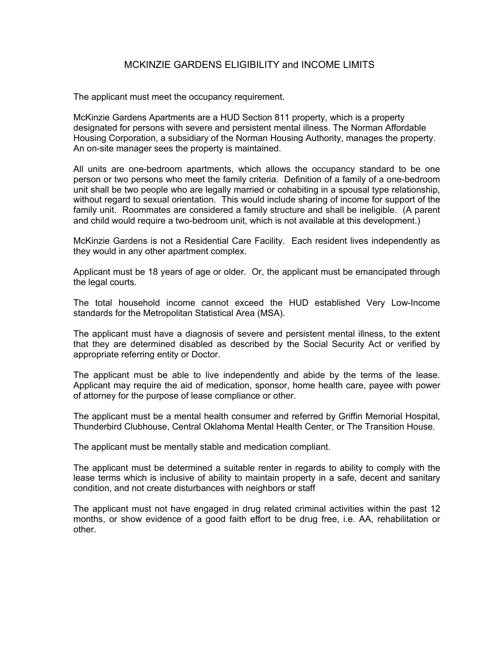## MCKINZIE GARDENS ELIGIBILITY and INCOME LIMITS

The applicant must meet the occupancy requirement.

McKinzie Gardens Apartments are a HUD Section 811 property, which is a property designated for persons with severe and persistent mental illness. The Norman Affordable Housing Corporation, a subsidiary of the Norman Housing Authority, manages the property. An on-site manager sees the property is maintained.

All units are one-bedroom apartments, which allows the occupancy standard to be one person or two persons who meet the family criteria. Definition of a family of a one-bedroom unit shall be two people who are legally married or cohabiting in a spousal type relationship, without regard to sexual orientation. This would include sharing of income for support of the family unit. Roommates are considered a family structure and shall be ineligible. (A parent and child would require a two-bedroom unit, which is not available at this development.)

McKinzie Gardens is not a Residential Care Facility. Each resident lives independently as they would in any other apartment complex.

Applicant must be 18 years of age or older. Or, the applicant must be emancipated through the legal courts.

The total household income cannot exceed the HUD established Very Low-Income standards for the Metropolitan Statistical Area (MSA).

The applicant must have a diagnosis of severe and persistent mental illness, to the extent that they are determined disabled as described by the Social Security Act or verified by appropriate referring entity or Doctor.

The applicant must be able to live independently and abide by the terms of the lease. Applicant may require the aid of medication, sponsor, home health care, payee with power of attorney for the purpose of lease compliance or other.

The applicant must be a mental health consumer and referred by Griffin Memorial Hospital, Thunderbird Clubhouse, Central Oklahoma Mental Health Center, or The Transition House.

The applicant must be mentally stable and medication compliant.

The applicant must be determined a suitable renter in regards to ability to comply with the lease terms which is inclusive of ability to maintain property in a safe, decent and sanitary condition, and not create disturbances with neighbors or staff

The applicant must not have engaged in drug related criminal activities within the past 12 months, or show evidence of a good faith effort to be drug free, i.e. AA, rehabilitation or other.